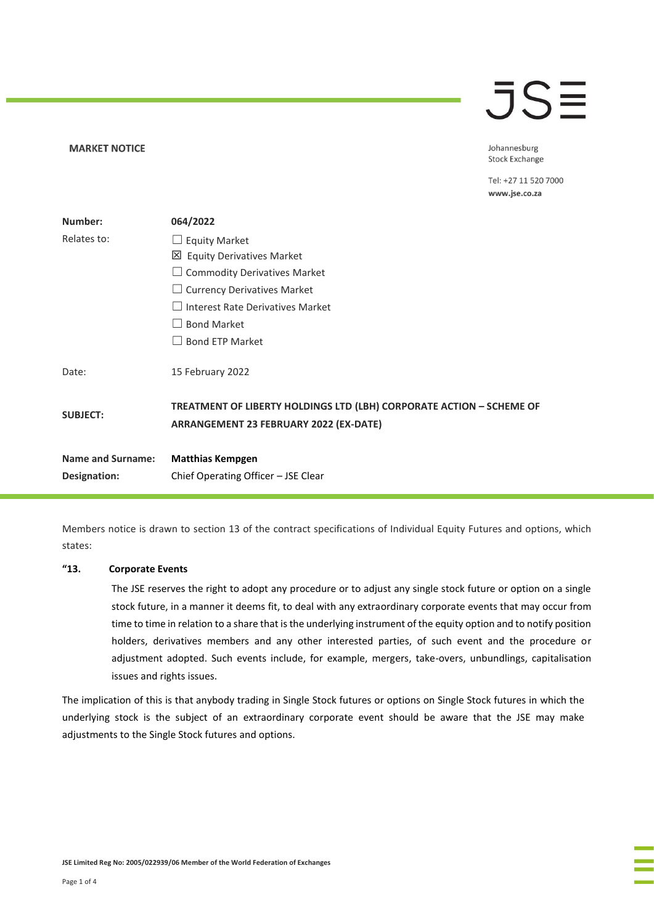# $\overline{\mathsf{J}}\mathsf{S}\mathsf{\Xi}$

**MARKET NOTICE** 

Johannesburg **Stock Exchange** 

Tel: +27 11 520 7000 www.jse.co.za

| Number:                  | 064/2022                                                                                                       |
|--------------------------|----------------------------------------------------------------------------------------------------------------|
| Relates to:              | $\Box$ Equity Market                                                                                           |
|                          | 凶 Equity Derivatives Market                                                                                    |
|                          | $\Box$ Commodity Derivatives Market                                                                            |
|                          | $\Box$ Currency Derivatives Market                                                                             |
|                          | $\Box$ Interest Rate Derivatives Market                                                                        |
|                          | <b>Bond Market</b>                                                                                             |
|                          | <b>Bond ETP Market</b>                                                                                         |
| Date:                    | 15 February 2022                                                                                               |
| <b>SUBJECT:</b>          | TREATMENT OF LIBERTY HOLDINGS LTD (LBH) CORPORATE ACTION - SCHEME OF<br>ARRANGEMENT 23 FEBRUARY 2022 (EX-DATE) |
| <b>Name and Surname:</b> | <b>Matthias Kempgen</b>                                                                                        |
| Designation:             | Chief Operating Officer - JSE Clear                                                                            |

Members notice is drawn to section 13 of the contract specifications of Individual Equity Futures and options, which states:

#### **"13. Corporate Events**

The JSE reserves the right to adopt any procedure or to adjust any single stock future or option on a single stock future, in a manner it deems fit, to deal with any extraordinary corporate events that may occur from time to time in relation to a share that is the underlying instrument of the equity option and to notify position holders, derivatives members and any other interested parties, of such event and the procedure or adjustment adopted. Such events include, for example, mergers, take-overs, unbundlings, capitalisation issues and rights issues.

The implication of this is that anybody trading in Single Stock futures or options on Single Stock futures in which the underlying stock is the subject of an extraordinary corporate event should be aware that the JSE may make adjustments to the Single Stock futures and options.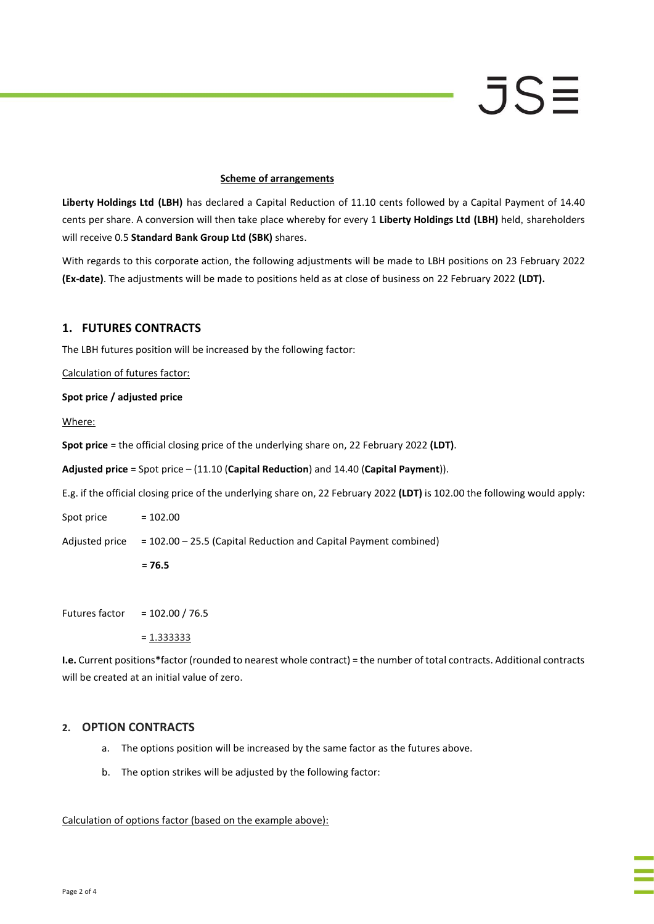### **Scheme of arrangements**

**Liberty Holdings Ltd (LBH)** has declared a Capital Reduction of 11.10 cents followed by a Capital Payment of 14.40 cents per share. A conversion will then take place whereby for every 1 **Liberty Holdings Ltd (LBH)** held, shareholders will receive 0.5 **Standard Bank Group Ltd (SBK)** shares.

With regards to this corporate action, the following adjustments will be made to LBH positions on 23 February 2022 **(Ex-date)**. The adjustments will be made to positions held as at close of business on 22 February 2022 **(LDT).**

# **1. FUTURES CONTRACTS**

The LBH futures position will be increased by the following factor:

Calculation of futures factor:

# **Spot price / adjusted price**

Where:

**Spot price** = the official closing price of the underlying share on, 22 February 2022 **(LDT)**.

**Adjusted price** = Spot price – (11.10 (**Capital Reduction**) and 14.40 (**Capital Payment**)).

E.g. if the official closing price of the underlying share on, 22 February 2022 **(LDT)** is 102.00 the following would apply:

Spot price  $= 102.00$ 

Adjusted price = 102.00 – 25.5 (Capital Reduction and Capital Payment combined)

= **76.5**

Futures factor = 102.00 / 76.5

= 1.333333

**I.e.** Current positions**\***factor (rounded to nearest whole contract) = the number of total contracts. Additional contracts will be created at an initial value of zero.

### **2. OPTION CONTRACTS**

- a. The options position will be increased by the same factor as the futures above.
- b. The option strikes will be adjusted by the following factor:

### Calculation of options factor (based on the example above):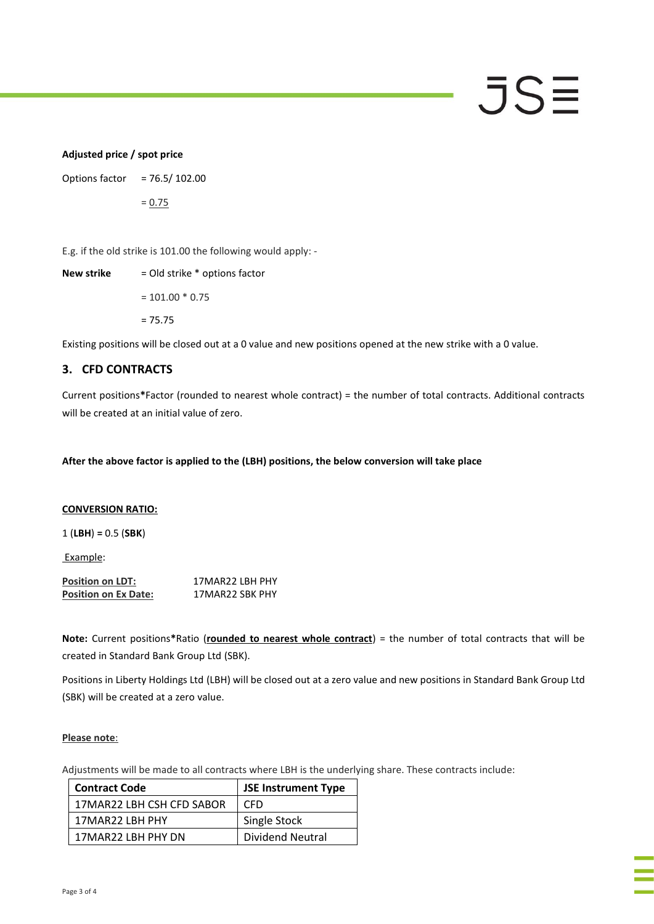# JSE

# **Adjusted price / spot price**

Options factor = 76.5/ 102.00

= 0.75

E.g. if the old strike is 101.00 the following would apply: -

**New strike** = Old strike \* options factor  $= 101.00 * 0.75$ 

 $= 75.75$ 

Existing positions will be closed out at a 0 value and new positions opened at the new strike with a 0 value.

# **3. CFD CONTRACTS**

Current positions**\***Factor (rounded to nearest whole contract) = the number of total contracts. Additional contracts will be created at an initial value of zero.

**After the above factor is applied to the (LBH) positions, the below conversion will take place**

# **CONVERSION RATIO:**

1 (**LBH**) **=** 0.5 (**SBK**)

Example:

| <b>Position on LDT:</b>     | 17MAR22 LBH PHY |
|-----------------------------|-----------------|
| <b>Position on Ex Date:</b> | 17MAR22 SBK PHY |

**Note:** Current positions**\***Ratio (**rounded to nearest whole contract**) = the number of total contracts that will be created in Standard Bank Group Ltd (SBK).

Positions in Liberty Holdings Ltd (LBH) will be closed out at a zero value and new positions in Standard Bank Group Ltd (SBK) will be created at a zero value.

### **Please note**:

Adjustments will be made to all contracts where LBH is the underlying share. These contracts include:

| <b>Contract Code</b>      | <b>JSE Instrument Type</b> |
|---------------------------|----------------------------|
| 17MAR22 LBH CSH CFD SABOR | CED.                       |
| 17MAR22 LBH PHY           | Single Stock               |
| 17MAR22 LBH PHY DN        | Dividend Neutral           |